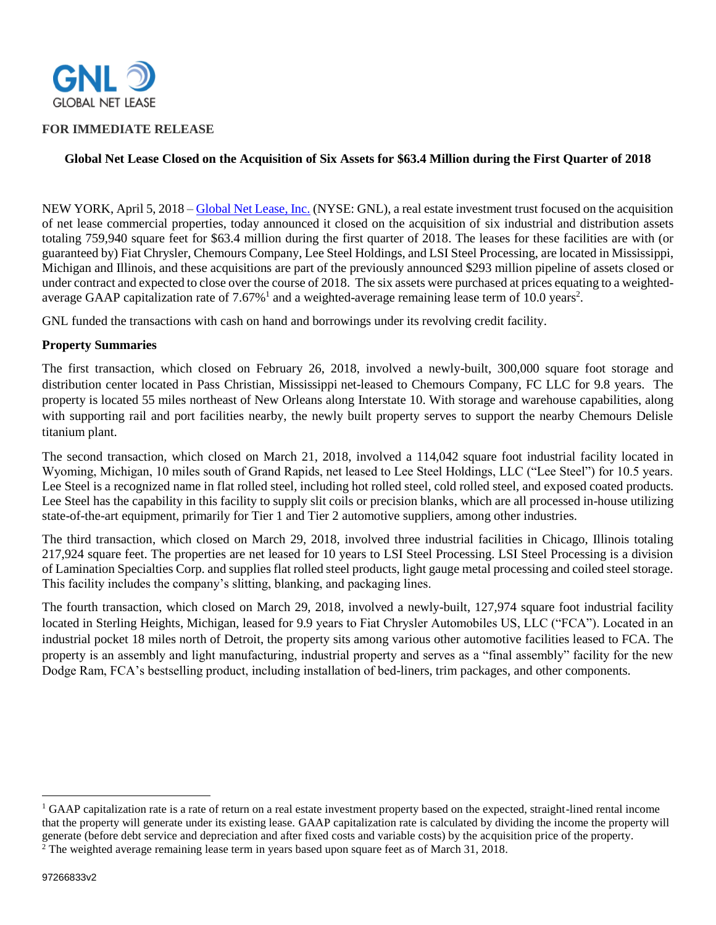

#### **FOR IMMEDIATE RELEASE**

## **Global Net Lease Closed on the Acquisition of Six Assets for \$63.4 Million during the First Quarter of 2018**

NEW YORK, April 5, 2018 – [Global Net Lease, Inc.](http://www.globalnetlease.com/) (NYSE: GNL), a real estate investment trust focused on the acquisition of net lease commercial properties, today announced it closed on the acquisition of six industrial and distribution assets totaling 759,940 square feet for \$63.4 million during the first quarter of 2018. The leases for these facilities are with (or guaranteed by) Fiat Chrysler, Chemours Company, Lee Steel Holdings, and LSI Steel Processing, are located in Mississippi, Michigan and Illinois, and these acquisitions are part of the previously announced \$293 million pipeline of assets closed or under contract and expected to close over the course of 2018. The six assets were purchased at prices equating to a weightedaverage GAAP capitalization rate of  $7.67\%$ <sup>1</sup> and a weighted-average remaining lease term of 10.0 years<sup>2</sup>.

GNL funded the transactions with cash on hand and borrowings under its revolving credit facility.

#### **Property Summaries**

The first transaction, which closed on February 26, 2018, involved a newly-built, 300,000 square foot storage and distribution center located in Pass Christian, Mississippi net-leased to Chemours Company, FC LLC for 9.8 years. The property is located 55 miles northeast of New Orleans along Interstate 10. With storage and warehouse capabilities, along with supporting rail and port facilities nearby, the newly built property serves to support the nearby Chemours Delisle titanium plant.

The second transaction, which closed on March 21, 2018, involved a 114,042 square foot industrial facility located in Wyoming, Michigan, 10 miles south of Grand Rapids, net leased to Lee Steel Holdings, LLC ("Lee Steel") for 10.5 years. Lee Steel is a recognized name in flat rolled steel, including hot rolled steel, cold rolled steel, and exposed coated products. Lee Steel has the capability in this facility to supply slit coils or precision blanks, which are all processed in-house utilizing state-of-the-art equipment, primarily for Tier 1 and Tier 2 automotive suppliers, among other industries.

The third transaction, which closed on March 29, 2018, involved three industrial facilities in Chicago, Illinois totaling 217,924 square feet. The properties are net leased for 10 years to LSI Steel Processing. LSI Steel Processing is a division of Lamination Specialties Corp. and supplies flat rolled steel products, light gauge metal processing and coiled steel storage. This facility includes the company's slitting, blanking, and packaging lines.

The fourth transaction, which closed on March 29, 2018, involved a newly-built, 127,974 square foot industrial facility located in Sterling Heights, Michigan, leased for 9.9 years to Fiat Chrysler Automobiles US, LLC ("FCA"). Located in an industrial pocket 18 miles north of Detroit, the property sits among various other automotive facilities leased to FCA. The property is an assembly and light manufacturing, industrial property and serves as a "final assembly" facility for the new Dodge Ram, FCA's bestselling product, including installation of bed-liners, trim packages, and other components.

 $\overline{\phantom{a}}$ 

<sup>&</sup>lt;sup>1</sup> GAAP capitalization rate is a rate of return on a real estate investment property based on the expected, straight-lined rental income that the property will generate under its existing lease. GAAP capitalization rate is calculated by dividing the income the property will generate (before debt service and depreciation and after fixed costs and variable costs) by the acquisition price of the property. <sup>2</sup> The weighted average remaining lease term in years based upon square feet as of March 31, 2018.